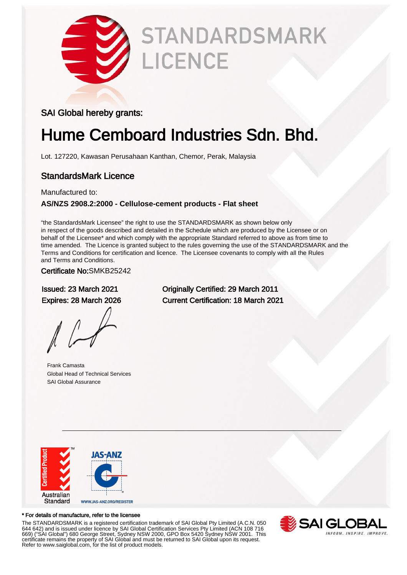

# **STANDARDSMARK LICENCE**

### SAI Global hereby grants:

## Hume Cemboard Industries Sdn. Bhd.

Lot. 127220, Kawasan Perusahaan Kanthan, Chemor, Perak, Malaysia

### StandardsMark Licence

Manufactured to:

#### **AS/NZS 2908.2:2000 - Cellulose-cement products - Flat sheet**

"the StandardsMark Licensee" the right to use the STANDARDSMARK as shown below only in respect of the goods described and detailed in the Schedule which are produced by the Licensee or on behalf of the Licensee\* and which comply with the appropriate Standard referred to above as from time to time amended. The Licence is granted subject to the rules governing the use of the STANDARDSMARK and the Terms and Conditions for certification and licence. The Licensee covenants to comply with all the Rules and Terms and Conditions.

Certificate No:SMKB25242

Frank Camasta Global Head of Technical Services SAI Global Assurance

Issued: 23 March 2021 Originally Certified: 29 March 2011 Expires: 28 March 2026 Current Certification: 18 March 2021



#### \* For details of manufacture, refer to the licensee

The STANDARDSMARK is a registered certification trademark of SAI Global Pty Limited (A.C.N. 050 644 642) and is issued under licence by SAI Global Certification Services Pty Limited (ACN 108 716 669) ("SAI Global") 680 George Street, Sydney NSW 2000, GPO Box 5420 Sydney NSW 2001. This certificate remains the property of SAI Global and must be returned to SAI Global upon its request. Refer to www.saiglobal.com, for the list of product models.